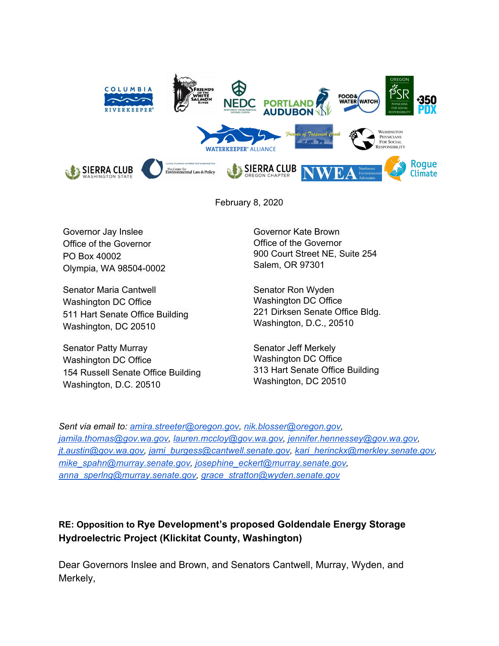

February 8, 2020

Governor Jay Inslee Office of the Governor PO Box 40002 Olympia, WA 98504-0002

Senator Maria Cantwell Washington DC Office 511 Hart Senate Office Building Washington, DC 20510

Senator Patty Murray Washington DC Office 154 Russell Senate Office Building Washington, D.C. 20510

Governor Kate Brown Office of the Governor 900 Court Street NE, Suite 254 Salem, OR 97301

Senator Ron Wyden Washington DC Office 221 Dirksen Senate Office Bldg. Washington, D.C., 20510

Senator Jeff Merkely Washington DC Office 313 Hart Senate Office Building Washington, DC 20510

*Sent via email to: amira.streeter@oregon.gov, nik.blosser@oregon.gov, jamila.thomas@gov.wa.gov, lauren.mccloy@gov.wa.gov, jennifer.hennessey@gov.wa.gov, jt.austin@gov.wa.gov, jami\_burgess@cantwell.senate.gov, kari\_herinckx@merkley.senate.gov, mike\_spahn@murray.senate.gov, josephine\_eckert@murray.senate.gov, anna\_sperlng@murray.senate.gov, grace\_stratton@wyden.senate.gov*

## **RE: Opposition to Rye Development's proposed Goldendale Energy Storage Hydroelectric Project (Klickitat County, Washington)**

Dear Governors Inslee and Brown, and Senators Cantwell, Murray, Wyden, and Merkely,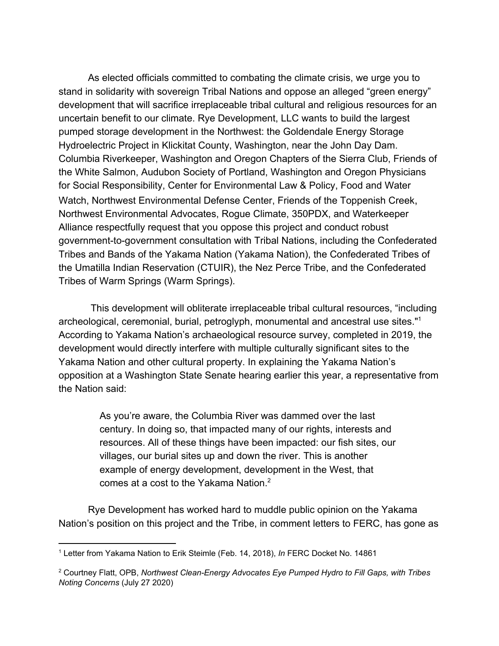As elected officials committed to combating the climate crisis, we urge you to stand in solidarity with sovereign Tribal Nations and oppose an alleged "green energy" development that will sacrifice irreplaceable tribal cultural and religious resources for an uncertain benefit to our climate. Rye Development, LLC wants to build the largest pumped storage development in the Northwest: the Goldendale Energy Storage Hydroelectric Project in Klickitat County, Washington, near the John Day Dam. Columbia Riverkeeper, Washington and Oregon Chapters of the Sierra Club, Friends of the White Salmon, Audubon Society of Portland, Washington and Oregon Physicians for Social Responsibility, Center for Environmental Law & Policy, Food and Water Watch, Northwest Environmental Defense Center, Friends of the Toppenish Creek, Northwest Environmental Advocates, Rogue Climate, 350PDX, and Waterkeeper Alliance respectfully request that you oppose this project and conduct robust government-to-government consultation with Tribal Nations, including the Confederated Tribes and Bands of the Yakama Nation (Yakama Nation), the Confederated Tribes of the Umatilla Indian Reservation (CTUIR), the Nez Perce Tribe, and the Confederated Tribes of Warm Springs (Warm Springs).

 This development will obliterate irreplaceable tribal cultural resources, "including archeological, ceremonial, burial, petroglyph, monumental and ancestral use sites."1 According to Yakama Nation's archaeological resource survey, completed in 2019, the development would directly interfere with multiple culturally significant sites to the Yakama Nation and other cultural property. In explaining the Yakama Nation's opposition at a Washington State Senate hearing earlier this year, a representative from the Nation said:

> As you're aware, the Columbia River was dammed over the last century. In doing so, that impacted many of our rights, interests and resources. All of these things have been impacted: our fish sites, our villages, our burial sites up and down the river. This is another example of energy development, development in the West, that comes at a cost to the Yakama Nation.<sup>2</sup>

Rye Development has worked hard to muddle public opinion on the Yakama Nation's position on this project and the Tribe, in comment letters to FERC, has gone as

<sup>1</sup> Letter from Yakama Nation to Erik Steimle (Feb. 14, 2018), *In* FERC Docket No. 14861

<sup>2</sup> Courtney Flatt, OPB, *Northwest Clean-Energy Advocates Eye Pumped Hydro to Fill Gaps, with Tribes Noting Concerns* (July 27 2020)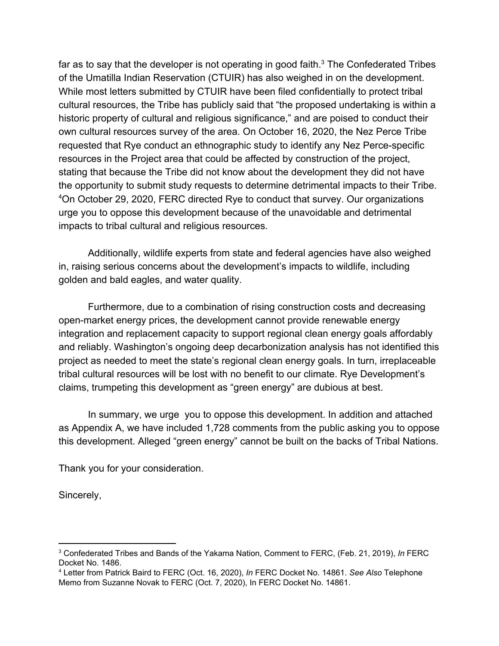far as to say that the developer is not operating in good faith.<sup>3</sup> The Confederated Tribes of the Umatilla Indian Reservation (CTUIR) has also weighed in on the development. While most letters submitted by CTUIR have been filed confidentially to protect tribal cultural resources, the Tribe has publicly said that "the proposed undertaking is within a historic property of cultural and religious significance," and are poised to conduct their own cultural resources survey of the area. On October 16, 2020, the Nez Perce Tribe requested that Rye conduct an ethnographic study to identify any Nez Perce-specific resources in the Project area that could be affected by construction of the project, stating that because the Tribe did not know about the development they did not have the opportunity to submit study requests to determine detrimental impacts to their Tribe. On October 29, 2020, FERC directed Rye to conduct that survey. Our organizations <sup>4</sup> urge you to oppose this development because of the unavoidable and detrimental impacts to tribal cultural and religious resources.

Additionally, wildlife experts from state and federal agencies have also weighed in, raising serious concerns about the development's impacts to wildlife, including golden and bald eagles, and water quality.

Furthermore, due to a combination of rising construction costs and decreasing open-market energy prices, the development cannot provide renewable energy integration and replacement capacity to support regional clean energy goals affordably and reliably. Washington's ongoing deep decarbonization analysis has not identified this project as needed to meet the state's regional clean energy goals. In turn, irreplaceable tribal cultural resources will be lost with no benefit to our climate. Rye Development's claims, trumpeting this development as "green energy" are dubious at best.

In summary, we urge you to oppose this development. In addition and attached as Appendix A, we have included 1,728 comments from the public asking you to oppose this development. Alleged "green energy" cannot be built on the backs of Tribal Nations.

Thank you for your consideration.

Sincerely,

<sup>3</sup> Confederated Tribes and Bands of the Yakama Nation, Comment to FERC, (Feb. 21, 2019), *In* FERC Docket No. 1486.

<sup>4</sup> Letter from Patrick Baird to FERC (Oct. 16, 2020), *In* FERC Docket No. 14861. *See Also* Telephone Memo from Suzanne Novak to FERC (Oct. 7, 2020), In FERC Docket No. 14861.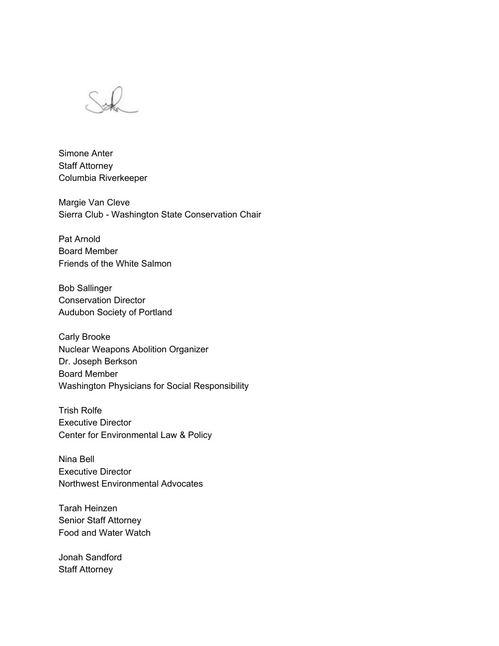

Simone Anter Staff Attorney Columbia Riverkeeper

Margie Van Cleve Sierra Club - Washington State Conservation Chair

Pat Arnold Board Member Friends of the White Salmon

Bob Sallinger Conservation Director Audubon Society of Portland

Carly Brooke Nuclear Weapons Abolition Organizer Dr. Joseph Berkson Board Member Washington Physicians for Social Responsibility

Trish Rolfe Executive Director Center for Environmental Law & Policy

Nina Bell Executive Director Northwest Environmental Advocates

Tarah Heinzen Senior Staff Attorney Food and Water Watch

Jonah Sandford Staff Attorney